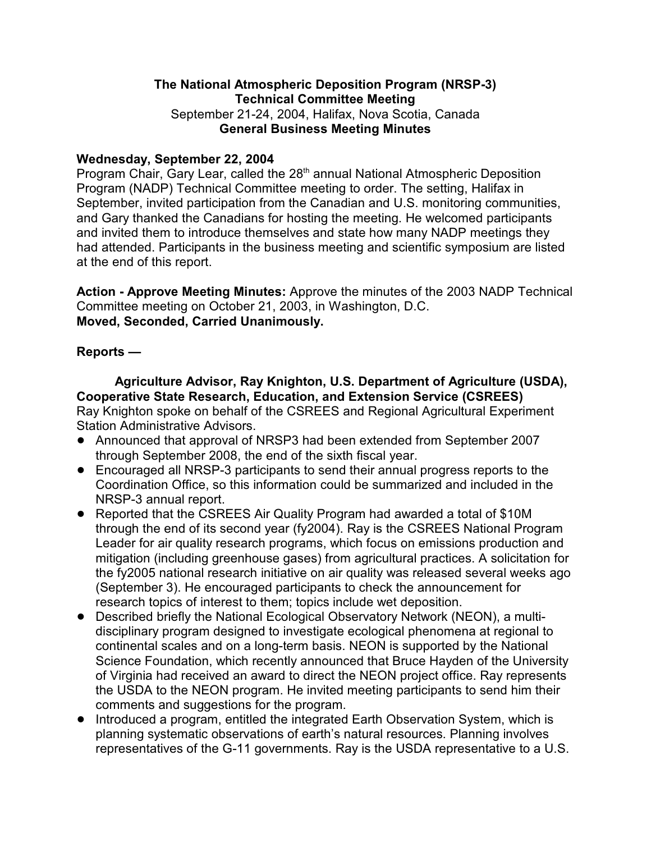### **The National Atmospheric Deposition Program (NRSP-3) Technical Committee Meeting** September 21-24, 2004, Halifax, Nova Scotia, Canada **General Business Meeting Minutes**

#### **Wednesday, September 22, 2004**

Program Chair, Gary Lear, called the 28<sup>th</sup> annual National Atmospheric Deposition Program (NADP) Technical Committee meeting to order. The setting, Halifax in September, invited participation from the Canadian and U.S. monitoring communities, and Gary thanked the Canadians for hosting the meeting. He welcomed participants and invited them to introduce themselves and state how many NADP meetings they had attended. Participants in the business meeting and scientific symposium are listed at the end of this report.

**Action - Approve Meeting Minutes:** Approve the minutes of the 2003 NADP Technical Committee meeting on October 21, 2003, in Washington, D.C. **Moved, Seconded, Carried Unanimously.**

#### **Reports —**

**Agriculture Advisor, Ray Knighton, U.S. Department of Agriculture (USDA), Cooperative State Research, Education, and Extension Service (CSREES)** Ray Knighton spoke on behalf of the CSREES and Regional Agricultural Experiment Station Administrative Advisors.

- ! Announced that approval of NRSP3 had been extended from September 2007 through September 2008, the end of the sixth fiscal year.
- ! Encouraged all NRSP-3 participants to send their annual progress reports to the Coordination Office, so this information could be summarized and included in the NRSP-3 annual report.
- Reported that the CSREES Air Quality Program had awarded a total of \$10M through the end of its second year (fy2004). Ray is the CSREES National Program Leader for air quality research programs, which focus on emissions production and mitigation (including greenhouse gases) from agricultural practices. A solicitation for the fy2005 national research initiative on air quality was released several weeks ago (September 3). He encouraged participants to check the announcement for research topics of interest to them; topics include wet deposition.
- ! Described briefly the National Ecological Observatory Network (NEON), a multidisciplinary program designed to investigate ecological phenomena at regional to continental scales and on a long-term basis. NEON is supported by the National Science Foundation, which recently announced that Bruce Hayden of the University of Virginia had received an award to direct the NEON project office. Ray represents the USDA to the NEON program. He invited meeting participants to send him their comments and suggestions for the program.
- ! Introduced a program, entitled the integrated Earth Observation System, which is planning systematic observations of earth's natural resources. Planning involves representatives of the G-11 governments. Ray is the USDA representative to a U.S.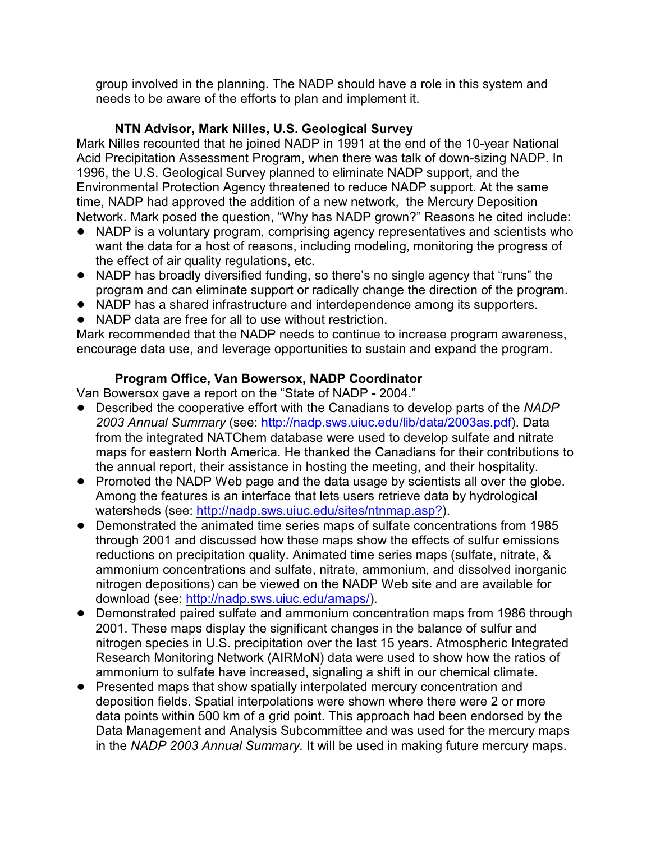group involved in the planning. The NADP should have a role in this system and needs to be aware of the efforts to plan and implement it.

# **NTN Advisor, Mark Nilles, U.S. Geological Survey**

Mark Nilles recounted that he joined NADP in 1991 at the end of the 10-year National Acid Precipitation Assessment Program, when there was talk of down-sizing NADP. In 1996, the U.S. Geological Survey planned to eliminate NADP support, and the Environmental Protection Agency threatened to reduce NADP support. At the same time, NADP had approved the addition of a new network, the Mercury Deposition Network. Mark posed the question, "Why has NADP grown?" Reasons he cited include:

- NADP is a voluntary program, comprising agency representatives and scientists who want the data for a host of reasons, including modeling, monitoring the progress of the effect of air quality regulations, etc.
- ! NADP has broadly diversified funding, so there's no single agency that "runs" the program and can eliminate support or radically change the direction of the program.
- NADP has a shared infrastructure and interdependence among its supporters.
- NADP data are free for all to use without restriction.

Mark recommended that the NADP needs to continue to increase program awareness, encourage data use, and leverage opportunities to sustain and expand the program.

# **Program Office, Van Bowersox, NADP Coordinator**

Van Bowersox gave a report on the "State of NADP - 2004."

- ! Described the cooperative effort with the Canadians to develop parts of the *NADP 2003 Annual Summary* (see: [http://nadp.sws.uiuc.edu/lib/data/2003as.pdf\)](http://nadp.sws.uiuc.edu/lib/data/2003as.pdf). Data from the integrated NATChem database were used to develop sulfate and nitrate maps for eastern North America. He thanked the Canadians for their contributions to the annual report, their assistance in hosting the meeting, and their hospitality.
- Promoted the NADP Web page and the data usage by scientists all over the globe. Among the features is an interface that lets users retrieve data by hydrological watersheds (see: [http://nadp.sws.uiuc.edu/sites/ntnmap.asp?](http://nadp.sws.uiuc.edu/sites/ntnmap.asp?).)).
- ! Demonstrated the animated time series maps of sulfate concentrations from 1985 through 2001 and discussed how these maps show the effects of sulfur emissions reductions on precipitation quality. Animated time series maps (sulfate, nitrate, & ammonium concentrations and sulfate, nitrate, ammonium, and dissolved inorganic nitrogen depositions) can be viewed on the NADP Web site and are available for download (see: <http://nadp.sws.uiuc.edu/amaps/>).
- Demonstrated paired sulfate and ammonium concentration maps from 1986 through 2001. These maps display the significant changes in the balance of sulfur and nitrogen species in U.S. precipitation over the last 15 years. Atmospheric Integrated Research Monitoring Network (AIRMoN) data were used to show how the ratios of ammonium to sulfate have increased, signaling a shift in our chemical climate.
- Presented maps that show spatially interpolated mercury concentration and deposition fields. Spatial interpolations were shown where there were 2 or more data points within 500 km of a grid point. This approach had been endorsed by the Data Management and Analysis Subcommittee and was used for the mercury maps in the *NADP 2003 Annual Summary.* It will be used in making future mercury maps.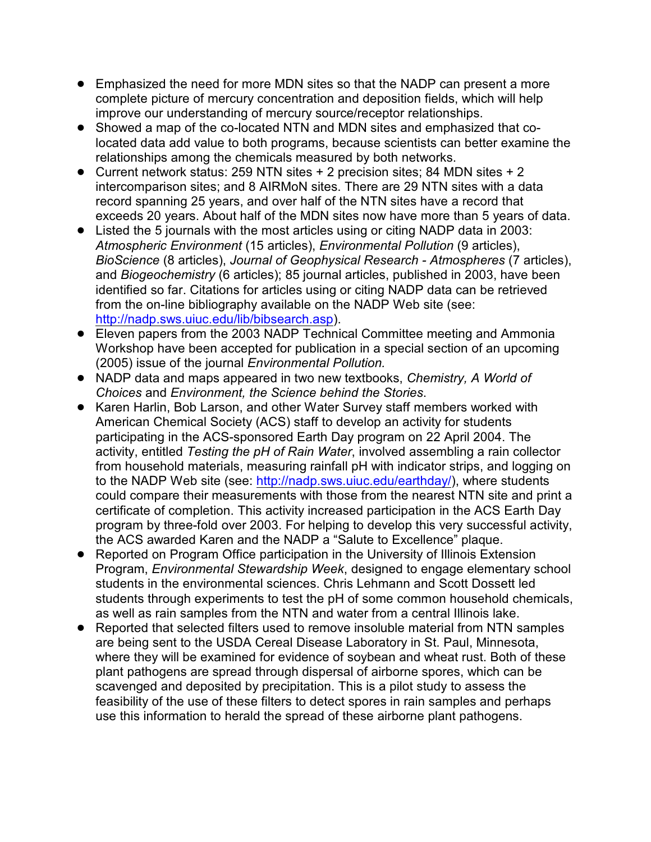- ! Emphasized the need for more MDN sites so that the NADP can present a more complete picture of mercury concentration and deposition fields, which will help improve our understanding of mercury source/receptor relationships.
- Showed a map of the co-located NTN and MDN sites and emphasized that colocated data add value to both programs, because scientists can better examine the relationships among the chemicals measured by both networks.
- ! Current network status: 259 NTN sites + 2 precision sites; 84 MDN sites + 2 intercomparison sites; and 8 AIRMoN sites. There are 29 NTN sites with a data record spanning 25 years, and over half of the NTN sites have a record that exceeds 20 years. About half of the MDN sites now have more than 5 years of data.
- ! Listed the 5 journals with the most articles using or citing NADP data in 2003: *Atmospheric Environment* (15 articles), *Environmental Pollution* (9 articles), *BioScience* (8 articles), *Journal of Geophysical Research - Atmospheres* (7 articles), and *Biogeochemistry* (6 articles); 85 journal articles, published in 2003, have been identified so far. Citations for articles using or citing NADP data can be retrieved from the on-line bibliography available on the NADP Web site (see: [http://nadp.sws.uiuc.edu/lib/bibsearch.asp](http://nadp.sws.uiuc.edu/lib/bibsearch.asp).)).
- Eleven papers from the 2003 NADP Technical Committee meeting and Ammonia Workshop have been accepted for publication in a special section of an upcoming (2005) issue of the journal *Environmental Pollution.*
- ! NADP data and maps appeared in two new textbooks, *Chemistry, A World of Choices* and *Environment, the Science behind the Stories*.
- ! Karen Harlin, Bob Larson, and other Water Survey staff members worked with American Chemical Society (ACS) staff to develop an activity for students participating in the ACS-sponsored Earth Day program on 22 April 2004. The activity, entitled *Testing the pH of Rain Water*, involved assembling a rain collector from household materials, measuring rainfall pH with indicator strips, and logging on to the NADP Web site (see: <http://nadp.sws.uiuc.edu/earthday/>), where students could compare their measurements with those from the nearest NTN site and print a certificate of completion. This activity increased participation in the ACS Earth Day program by three-fold over 2003. For helping to develop this very successful activity, the ACS awarded Karen and the NADP a "Salute to Excellence" plaque.
- Reported on Program Office participation in the University of Illinois Extension Program, *Environmental Stewardship Week*, designed to engage elementary school students in the environmental sciences. Chris Lehmann and Scott Dossett led students through experiments to test the pH of some common household chemicals, as well as rain samples from the NTN and water from a central Illinois lake.
- ! Reported that selected filters used to remove insoluble material from NTN samples are being sent to the USDA Cereal Disease Laboratory in St. Paul, Minnesota, where they will be examined for evidence of soybean and wheat rust. Both of these plant pathogens are spread through dispersal of airborne spores, which can be scavenged and deposited by precipitation. This is a pilot study to assess the feasibility of the use of these filters to detect spores in rain samples and perhaps use this information to herald the spread of these airborne plant pathogens.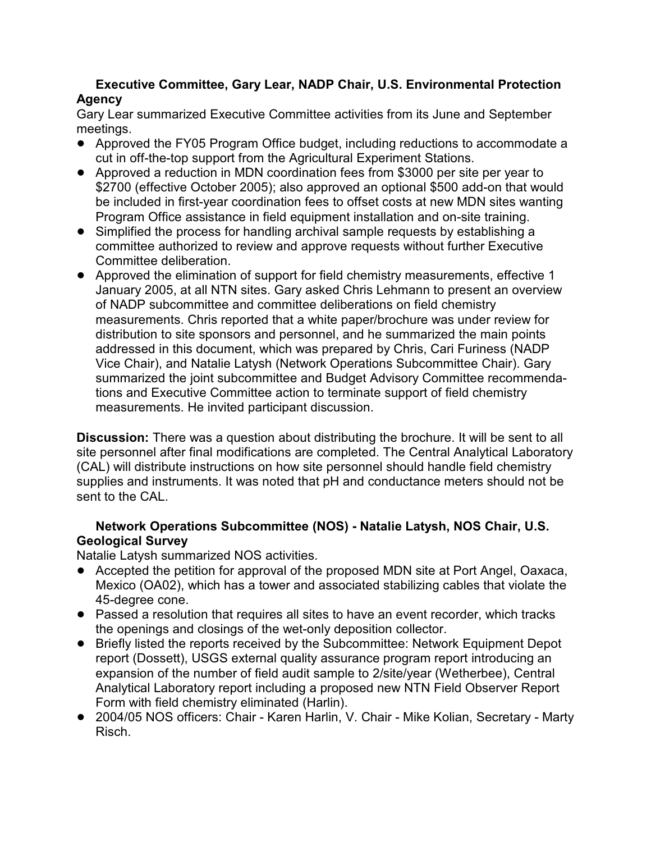# **Executive Committee, Gary Lear, NADP Chair, U.S. Environmental Protection Agency**

Gary Lear summarized Executive Committee activities from its June and September meetings.

- ! Approved the FY05 Program Office budget, including reductions to accommodate a cut in off-the-top support from the Agricultural Experiment Stations.
- ! Approved a reduction in MDN coordination fees from \$3000 per site per year to \$2700 (effective October 2005); also approved an optional \$500 add-on that would be included in first-year coordination fees to offset costs at new MDN sites wanting Program Office assistance in field equipment installation and on-site training.
- Simplified the process for handling archival sample requests by establishing a committee authorized to review and approve requests without further Executive Committee deliberation.
- ! Approved the elimination of support for field chemistry measurements, effective 1 January 2005, at all NTN sites. Gary asked Chris Lehmann to present an overview of NADP subcommittee and committee deliberations on field chemistry measurements. Chris reported that a white paper/brochure was under review for distribution to site sponsors and personnel, and he summarized the main points addressed in this document, which was prepared by Chris, Cari Furiness (NADP Vice Chair), and Natalie Latysh (Network Operations Subcommittee Chair). Gary summarized the joint subcommittee and Budget Advisory Committee recommendations and Executive Committee action to terminate support of field chemistry measurements. He invited participant discussion.

**Discussion:** There was a question about distributing the brochure. It will be sent to all site personnel after final modifications are completed. The Central Analytical Laboratory (CAL) will distribute instructions on how site personnel should handle field chemistry supplies and instruments. It was noted that pH and conductance meters should not be sent to the CAL.

# **Network Operations Subcommittee (NOS) - Natalie Latysh, NOS Chair, U.S. Geological Survey**

Natalie Latysh summarized NOS activities.

- ! Accepted the petition for approval of the proposed MDN site at Port Angel, Oaxaca, Mexico (OA02), which has a tower and associated stabilizing cables that violate the 45-degree cone.
- Passed a resolution that requires all sites to have an event recorder, which tracks the openings and closings of the wet-only deposition collector.
- ! Briefly listed the reports received by the Subcommittee: Network Equipment Depot report (Dossett), USGS external quality assurance program report introducing an expansion of the number of field audit sample to 2/site/year (Wetherbee), Central Analytical Laboratory report including a proposed new NTN Field Observer Report Form with field chemistry eliminated (Harlin).
- ! 2004/05 NOS officers: Chair Karen Harlin, V. Chair Mike Kolian, Secretary Marty Risch.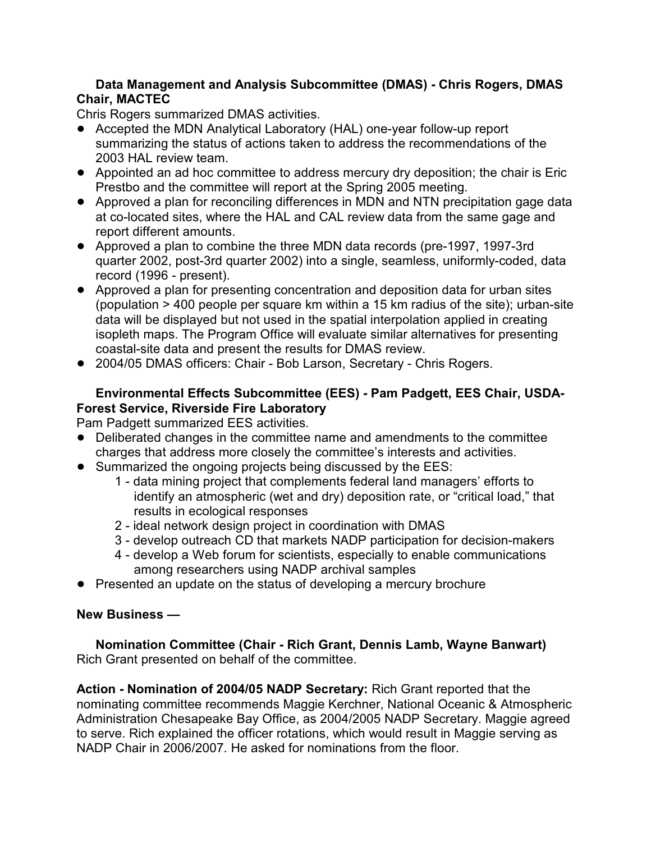# **Data Management and Analysis Subcommittee (DMAS) - Chris Rogers, DMAS Chair, MACTEC**

Chris Rogers summarized DMAS activities.

- ! Accepted the MDN Analytical Laboratory (HAL) one-year follow-up report summarizing the status of actions taken to address the recommendations of the 2003 HAL review team.
- ! Appointed an ad hoc committee to address mercury dry deposition; the chair is Eric Prestbo and the committee will report at the Spring 2005 meeting.
- ! Approved a plan for reconciling differences in MDN and NTN precipitation gage data at co-located sites, where the HAL and CAL review data from the same gage and report different amounts.
- ! Approved a plan to combine the three MDN data records (pre-1997, 1997-3rd quarter 2002, post-3rd quarter 2002) into a single, seamless, uniformly-coded, data record (1996 - present).
- ! Approved a plan for presenting concentration and deposition data for urban sites (population > 400 people per square km within a 15 km radius of the site); urban-site data will be displayed but not used in the spatial interpolation applied in creating isopleth maps. The Program Office will evaluate similar alternatives for presenting coastal-site data and present the results for DMAS review.
- 2004/05 DMAS officers: Chair Bob Larson, Secretary Chris Rogers.

# **Environmental Effects Subcommittee (EES) - Pam Padgett, EES Chair, USDA-Forest Service, Riverside Fire Laboratory**

Pam Padgett summarized EES activities.

- Deliberated changes in the committee name and amendments to the committee charges that address more closely the committee's interests and activities.
- Summarized the ongoing projects being discussed by the EES:
	- 1 data mining project that complements federal land managers' efforts to identify an atmospheric (wet and dry) deposition rate, or "critical load," that results in ecological responses
	- 2 ideal network design project in coordination with DMAS
	- 3 develop outreach CD that markets NADP participation for decision-makers
	- 4 develop a Web forum for scientists, especially to enable communications among researchers using NADP archival samples
- Presented an update on the status of developing a mercury brochure

# **New Business —**

**Nomination Committee (Chair - Rich Grant, Dennis Lamb, Wayne Banwart)** Rich Grant presented on behalf of the committee.

**Action - Nomination of 2004/05 NADP Secretary:** Rich Grant reported that the nominating committee recommends Maggie Kerchner, National Oceanic & Atmospheric Administration Chesapeake Bay Office, as 2004/2005 NADP Secretary. Maggie agreed to serve. Rich explained the officer rotations, which would result in Maggie serving as NADP Chair in 2006/2007. He asked for nominations from the floor.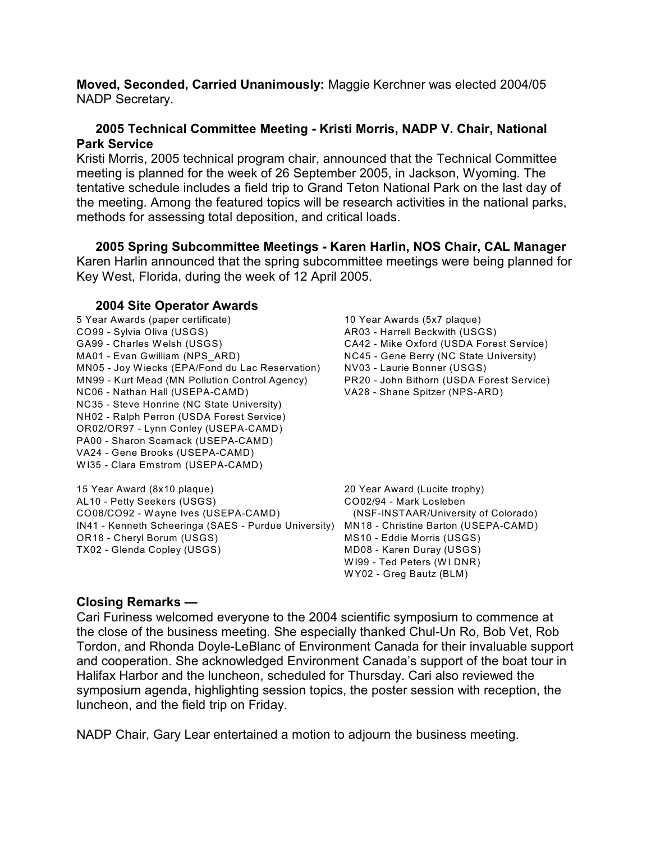**Moved, Seconded, Carried Unanimously:** Maggie Kerchner was elected 2004/05 NADP Secretary.

### **2005 Technical Committee Meeting - Kristi Morris, NADP V. Chair, National Park Service**

Kristi Morris, 2005 technical program chair, announced that the Technical Committee meeting is planned for the week of 26 September 2005, in Jackson, Wyoming. The tentative schedule includes a field trip to Grand Teton National Park on the last day of the meeting. Among the featured topics will be research activities in the national parks, methods for assessing total deposition, and critical loads.

**2005 Spring Subcommittee Meetings - Karen Harlin, NOS Chair, CAL Manager** Karen Harlin announced that the spring subcommittee meetings were being planned for Key West, Florida, during the week of 12 April 2005.

#### **2004 Site Operator Awards**

5 Year Awards (paper certificate) 10 Year Awards (5x7 plaque) CO99 - Sylvia Oliva (USGS)  $\overline{R}$  AR03 - Harrell Beckwith (USGS) GA99 - Charles Welsh (USGS) CA42 - Mike Oxford (USDA Forest Service) MA01 - Evan Gwilliam (NPS ARD) NC45 - Gene Berry (NC State University) MN05 - Joy W iecks (EPA/Fond du Lac Reservation) NV03 - Laurie Bonner (USGS) MN99 - Kurt Mead (MN Pollution Control Agency) PR20 - John Bithorn (USDA Forest Service) NC06 - Nathan Hall (USEPA-CAMD) VA28 - Shane Spitzer (NPS-ARD) NC35 - Steve Honrine (NC State University) NH02 - Ralph Perron (USDA Forest Service) OR02/OR97 - Lynn Conley (USEPA-CAMD) PA00 - Sharon Scamack (USEPA-CAMD) VA24 - Gene Brooks (USEPA-CAMD) W I35 - Clara Emstrom (USEPA-CAMD)

15 Year Award (8x10 plaque) 20 Year Award (Lucite trophy) AL10 - Petty Seekers (USGS) CO02/94 - Mark Losleben CO08/CO92 - W ayne Ives (USEPA-CAMD) (NSF-INSTAAR/University of Colorado) IN41 - Kenneth Scheeringa (SAES - Purdue University) MN18 - Christine Barton (USEPA-CAMD) OR18 - Cheryl Borum (USGS) MS10 - Eddie Morris (USGS) TX02 - Glenda Copley (USGS) MD08 - Karen Duray (USGS)

W I99 - Ted Peters (WI DNR) W Y02 - Greg Bautz (BLM)

# **Closing Remarks —**

Cari Furiness welcomed everyone to the 2004 scientific symposium to commence at the close of the business meeting. She especially thanked Chul-Un Ro, Bob Vet, Rob Tordon, and Rhonda Doyle-LeBlanc of Environment Canada for their invaluable support and cooperation. She acknowledged Environment Canada's support of the boat tour in Halifax Harbor and the luncheon, scheduled for Thursday. Cari also reviewed the symposium agenda, highlighting session topics, the poster session with reception, the luncheon, and the field trip on Friday.

NADP Chair, Gary Lear entertained a motion to adjourn the business meeting.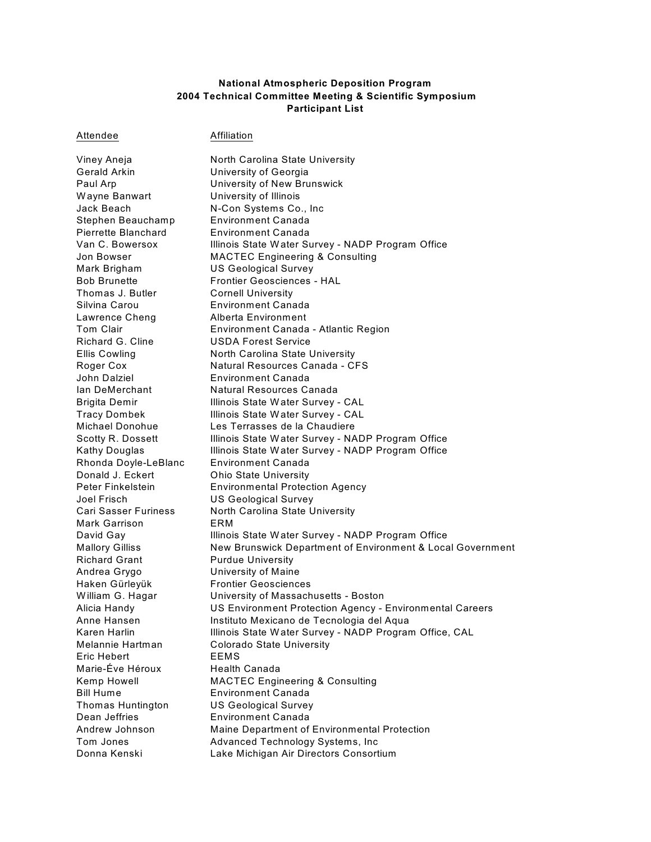#### **National Atmospheric Deposition Program 2004 Technical Committee Meeting & Scientific Symposium Participant List**

Attendee **Affiliation** 

Gerald Arkin University of Georgia Wayne Banwart **University of Illinois** Jack Beach N-Con Systems Co., Inc Stephen Beauchamp Environment Canada Pierrette Blanchard Environment Canada Mark Brigham US Geological Survey Thomas J. Butler Cornell University Silvina Carou Environment Canada Lawrence Cheng **Alberta Environment** Richard G. Cline USDA Forest Service John Dalziel Environment Canada Rhonda Doyle-LeBlanc Environment Canada Donald J. Eckert **Ohio State University** Joel Frisch US Geological Survey Mark Garrison **ERM** Richard Grant Purdue University Andrea Grygo University of Maine Haken Gürleyük Frontier Geosciences Melannie Hartman Colorado State University Eric Hebert EEMS Marie-Éve Héroux Health Canada Bill Hume Environment Canada Thomas Huntington US Geological Survey Dean Jeffries Environment Canada Donna Kenski Lake Michigan Air Directors Consortium

Viney Aneja North Carolina State University Paul Arp University of New Brunswick Van C. Bowersox Illinois State Water Survey - NADP Program Office Jon Bowser MACTEC Engineering & Consulting Bob Brunette Frontier Geosciences - HAL Tom Clair Environment Canada - Atlantic Region Ellis Cowling **North Carolina State University** Roger Cox Natural Resources Canada - CFS Ian DeMerchant Natural Resources Canada Brigita Demir **Illinois State Water Survey - CAL** Tracy Dombek Illinois State W ater Survey - CAL Michael Donohue Les Terrasses de la Chaudiere Scotty R. Dossett Illinois State Water Survey - NADP Program Office Kathy Douglas Illinois State Water Survey - NADP Program Office Peter Finkelstein Environmental Protection Agency Cari Sasser Furiness North Carolina State University David Gay **Illinois State Water Survey - NADP Program Office** Mallory Gilliss New Brunswick Department of Environment & Local Government William G. Hagar **University of Massachusetts - Boston** Alicia Handy US Environment Protection Agency - Environmental Careers Anne Hansen **Instituto Mexicano de Tecnologia del Aqua** Karen Harlin **Illinois State Water Survey - NADP Program Office, CAL** Kemp Howell MACTEC Engineering & Consulting Andrew Johnson Maine Department of Environmental Protection Tom Jones **Advanced Technology Systems, Inc.**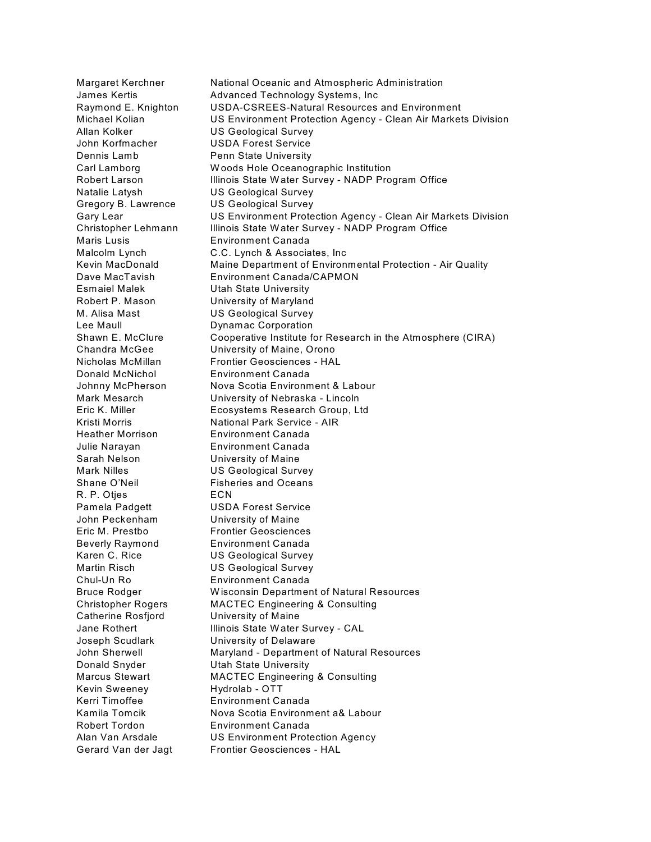Margaret Kerchner National Oceanic and Atmospheric Administration James Kertis **Advanced Technology Systems, Inc** Raymond E. Knighton USDA-CSREES-Natural Resources and Environment Michael Kolian US Environment Protection Agency - Clean Air Markets Division Allan Kolker US Geological Survey John Korfmacher USDA Forest Service Dennis Lamb Penn State University Carl Lamborg W oods Hole Oceanographic Institution Robert Larson **Illinois State Water Survey - NADP Program Office** Natalie Latysh US Geological Survey Gregory B. Lawrence US Geological Survey Gary Lear US Environment Protection Agency - Clean Air Markets Division Christopher Lehmann Illinois State Water Survey - NADP Program Office Maris Lusis Environment Canada Malcolm Lynch C.C. Lynch & Associates, Inc Kevin MacDonald Maine Department of Environmental Protection - Air Quality Dave MacTavish Environment Canada/CAPMON Esmaiel Malek Utah State University Robert P. Mason University of Maryland M. Alisa Mast US Geological Survey Lee Maull Dynamac Corporation Shawn E. McClure Cooperative Institute for Research in the Atmosphere (CIRA) Chandra McGee University of Maine, Orono Nicholas McMillan Frontier Geosciences - HAL Donald McNichol Environment Canada Johnny McPherson Nova Scotia Environment & Labour Mark Mesarch University of Nebraska - Lincoln Eric K. Miller Ecosystems Research Group, Ltd Kristi Morris **National Park Service - AIR** Heather Morrison Environment Canada Julie Narayan Environment Canada Sarah Nelson University of Maine Mark Nilles **US Geological Survey** Shane O'Neil **Fisheries** and Oceans R. P. Otjes ECN Pamela Padgett USDA Forest Service John Peckenham University of Maine Eric M. Prestbo Frontier Geosciences Beverly Raymond Environment Canada Karen C. Rice US Geological Survey Martin Risch US Geological Survey Chul-Un Ro Environment Canada Bruce Rodger W isconsin Department of Natural Resources Christopher Rogers MACTEC Engineering & Consulting Catherine Rosfjord University of Maine Jane Rothert **Illinois State Water Survey - CAL** Joseph Scudlark University of Delaware John Sherwell **Maryland - Department of Natural Resources** Donald Snyder **Utah State University** Marcus Stewart MACTEC Engineering & Consulting Kevin Sweeney Hydrolab - OTT Kerri Timoffee Environment Canada Kamila Tomcik Nova Scotia Environment a& Labour Robert Tordon Environment Canada Alan Van Arsdale US Environment Protection Agency Gerard Van der Jagt Frontier Geosciences - HAL